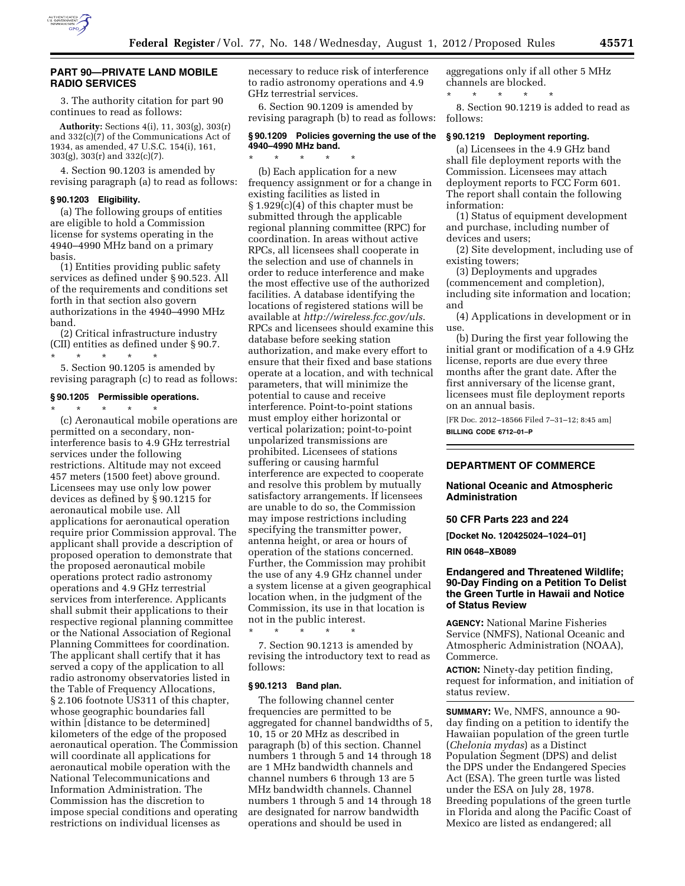

3. The authority citation for part 90 continues to read as follows:

**Authority:** Sections 4(i), 11, 303(g), 303(r) and 332(c)(7) of the Communications Act of 1934, as amended, 47 U.S.C. 154(i), 161, 303(g), 303(r) and 332(c)(7).

4. Section 90.1203 is amended by revising paragraph (a) to read as follows:

#### **§ 90.1203 Eligibility.**

(a) The following groups of entities are eligible to hold a Commission license for systems operating in the 4940–4990 MHz band on a primary basis.

(1) Entities providing public safety services as defined under § 90.523. All of the requirements and conditions set forth in that section also govern authorizations in the 4940–4990 MHz band.

(2) Critical infrastructure industry (CII) entities as defined under § 90.7. \* \* \* \* \*

5. Section 90.1205 is amended by revising paragraph (c) to read as follows:

#### **§ 90.1205 Permissible operations.**

\* \* \* \* \*

(c) Aeronautical mobile operations are permitted on a secondary, noninterference basis to 4.9 GHz terrestrial services under the following restrictions. Altitude may not exceed 457 meters (1500 feet) above ground. Licensees may use only low power devices as defined by § 90.1215 for aeronautical mobile use. All applications for aeronautical operation require prior Commission approval. The applicant shall provide a description of proposed operation to demonstrate that the proposed aeronautical mobile operations protect radio astronomy operations and 4.9 GHz terrestrial services from interference. Applicants shall submit their applications to their respective regional planning committee or the National Association of Regional Planning Committees for coordination. The applicant shall certify that it has served a copy of the application to all radio astronomy observatories listed in the Table of Frequency Allocations, § 2.106 footnote US311 of this chapter, whose geographic boundaries fall within [distance to be determined] kilometers of the edge of the proposed aeronautical operation. The Commission will coordinate all applications for aeronautical mobile operation with the National Telecommunications and Information Administration. The Commission has the discretion to impose special conditions and operating restrictions on individual licenses as

necessary to reduce risk of interference to radio astronomy operations and 4.9 GHz terrestrial services.

6. Section 90.1209 is amended by revising paragraph (b) to read as follows:

#### **§ 90.1209 Policies governing the use of the 4940–4990 MHz band.**

\* \* \* \* \*

(b) Each application for a new frequency assignment or for a change in existing facilities as listed in § 1.929(c)(4) of this chapter must be submitted through the applicable regional planning committee (RPC) for coordination. In areas without active RPCs, all licensees shall cooperate in the selection and use of channels in order to reduce interference and make the most effective use of the authorized facilities. A database identifying the locations of registered stations will be available at *<http://wireless.fcc.gov/uls>*. RPCs and licensees should examine this database before seeking station authorization, and make every effort to ensure that their fixed and base stations operate at a location, and with technical parameters, that will minimize the potential to cause and receive interference. Point-to-point stations must employ either horizontal or vertical polarization; point-to-point unpolarized transmissions are prohibited. Licensees of stations suffering or causing harmful interference are expected to cooperate and resolve this problem by mutually satisfactory arrangements. If licensees are unable to do so, the Commission may impose restrictions including specifying the transmitter power, antenna height, or area or hours of operation of the stations concerned. Further, the Commission may prohibit the use of any 4.9 GHz channel under a system license at a given geographical location when, in the judgment of the Commission, its use in that location is not in the public interest.

\* \* \* \* \* 7. Section 90.1213 is amended by revising the introductory text to read as follows:

## **§ 90.1213 Band plan.**

The following channel center frequencies are permitted to be aggregated for channel bandwidths of 5, 10, 15 or 20 MHz as described in paragraph (b) of this section. Channel numbers 1 through 5 and 14 through 18 are 1 MHz bandwidth channels and channel numbers 6 through 13 are 5 MHz bandwidth channels. Channel numbers 1 through 5 and 14 through 18 are designated for narrow bandwidth operations and should be used in

aggregations only if all other 5 MHz channels are blocked. \* \* \* \* \*

8. Section 90.1219 is added to read as follows:

### **§ 90.1219 Deployment reporting.**

(a) Licensees in the 4.9 GHz band shall file deployment reports with the Commission. Licensees may attach deployment reports to FCC Form 601. The report shall contain the following information:

(1) Status of equipment development and purchase, including number of devices and users;

(2) Site development, including use of existing towers;

(3) Deployments and upgrades (commencement and completion), including site information and location; and

(4) Applications in development or in use.

(b) During the first year following the initial grant or modification of a 4.9 GHz license, reports are due every three months after the grant date. After the first anniversary of the license grant, licensees must file deployment reports on an annual basis.

[FR Doc. 2012–18566 Filed 7–31–12; 8:45 am] **BILLING CODE 6712–01–P** 

#### **DEPARTMENT OF COMMERCE**

### **National Oceanic and Atmospheric Administration**

**50 CFR Parts 223 and 224** 

**[Docket No. 120425024–1024–01]** 

**RIN 0648–XB089** 

## **Endangered and Threatened Wildlife; 90-Day Finding on a Petition To Delist the Green Turtle in Hawaii and Notice of Status Review**

**AGENCY:** National Marine Fisheries Service (NMFS), National Oceanic and Atmospheric Administration (NOAA), Commerce.

**ACTION:** Ninety-day petition finding, request for information, and initiation of status review.

**SUMMARY:** We, NMFS, announce a 90 day finding on a petition to identify the Hawaiian population of the green turtle (*Chelonia mydas*) as a Distinct Population Segment (DPS) and delist the DPS under the Endangered Species Act (ESA). The green turtle was listed under the ESA on July 28, 1978. Breeding populations of the green turtle in Florida and along the Pacific Coast of Mexico are listed as endangered; all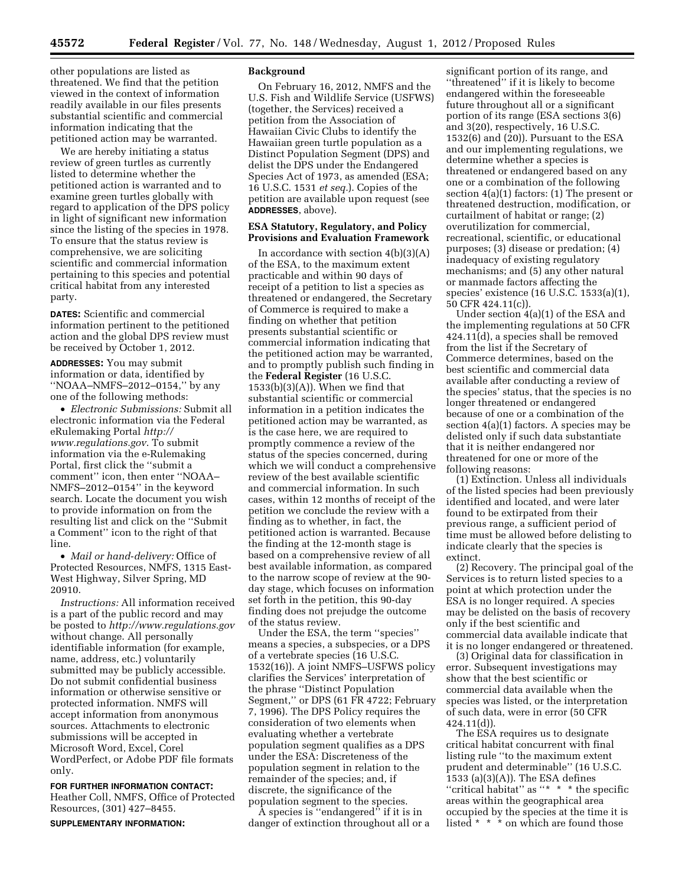other populations are listed as threatened. We find that the petition viewed in the context of information readily available in our files presents substantial scientific and commercial information indicating that the petitioned action may be warranted.

We are hereby initiating a status review of green turtles as currently listed to determine whether the petitioned action is warranted and to examine green turtles globally with regard to application of the DPS policy in light of significant new information since the listing of the species in 1978. To ensure that the status review is comprehensive, we are soliciting scientific and commercial information pertaining to this species and potential critical habitat from any interested party.

**DATES:** Scientific and commercial information pertinent to the petitioned action and the global DPS review must be received by October 1, 2012.

**ADDRESSES:** You may submit information or data, identified by ''NOAA–NMFS–2012–0154,'' by any one of the following methods:

• *Electronic Submissions:* Submit all electronic information via the Federal eRulemaking Portal *[http://](http://www.regulations.gov)  [www.regulations.gov](http://www.regulations.gov)*. To submit information via the e-Rulemaking Portal, first click the ''submit a comment'' icon, then enter ''NOAA– NMFS–2012–0154'' in the keyword search. Locate the document you wish to provide information on from the resulting list and click on the ''Submit a Comment'' icon to the right of that line.

• *Mail or hand*-*delivery:* Office of Protected Resources, NMFS, 1315 East-West Highway, Silver Spring, MD 20910.

*Instructions:* All information received is a part of the public record and may be posted to *<http://www.regulations.gov>* without change. All personally identifiable information (for example, name, address, etc.) voluntarily submitted may be publicly accessible. Do not submit confidential business information or otherwise sensitive or protected information. NMFS will accept information from anonymous sources. Attachments to electronic submissions will be accepted in Microsoft Word, Excel, Corel WordPerfect, or Adobe PDF file formats only.

**FOR FURTHER INFORMATION CONTACT:**  Heather Coll, NMFS, Office of Protected

Resources, (301) 427–8455.

**SUPPLEMENTARY INFORMATION:** 

### **Background**

On February 16, 2012, NMFS and the U.S. Fish and Wildlife Service (USFWS) (together, the Services) received a petition from the Association of Hawaiian Civic Clubs to identify the Hawaiian green turtle population as a Distinct Population Segment (DPS) and delist the DPS under the Endangered Species Act of 1973, as amended (ESA; 16 U.S.C. 1531 *et seq.*). Copies of the petition are available upon request (see **ADDRESSES**, above).

## **ESA Statutory, Regulatory, and Policy Provisions and Evaluation Framework**

In accordance with section  $4(b)(3)(A)$ of the ESA, to the maximum extent practicable and within 90 days of receipt of a petition to list a species as threatened or endangered, the Secretary of Commerce is required to make a finding on whether that petition presents substantial scientific or commercial information indicating that the petitioned action may be warranted, and to promptly publish such finding in the **Federal Register** (16 U.S.C. 1533(b)(3)(A)). When we find that substantial scientific or commercial information in a petition indicates the petitioned action may be warranted, as is the case here, we are required to promptly commence a review of the status of the species concerned, during which we will conduct a comprehensive review of the best available scientific and commercial information. In such cases, within 12 months of receipt of the petition we conclude the review with a finding as to whether, in fact, the petitioned action is warranted. Because the finding at the 12-month stage is based on a comprehensive review of all best available information, as compared to the narrow scope of review at the 90 day stage, which focuses on information set forth in the petition, this 90-day finding does not prejudge the outcome of the status review.

Under the ESA, the term ''species'' means a species, a subspecies, or a DPS of a vertebrate species (16 U.S.C. 1532(16)). A joint NMFS–USFWS policy clarifies the Services' interpretation of the phrase ''Distinct Population Segment,'' or DPS (61 FR 4722; February 7, 1996). The DPS Policy requires the consideration of two elements when evaluating whether a vertebrate population segment qualifies as a DPS under the ESA: Discreteness of the population segment in relation to the remainder of the species; and, if discrete, the significance of the population segment to the species.

A species is ''endangered'' if it is in danger of extinction throughout all or a

significant portion of its range, and ''threatened'' if it is likely to become endangered within the foreseeable future throughout all or a significant portion of its range (ESA sections 3(6) and 3(20), respectively, 16 U.S.C. 1532(6) and (20)). Pursuant to the ESA and our implementing regulations, we determine whether a species is threatened or endangered based on any one or a combination of the following section 4(a)(1) factors: (1) The present or threatened destruction, modification, or curtailment of habitat or range; (2) overutilization for commercial, recreational, scientific, or educational purposes; (3) disease or predation; (4) inadequacy of existing regulatory mechanisms; and (5) any other natural or manmade factors affecting the species' existence (16 U.S.C. 1533(a)(1), 50 CFR 424.11(c)).

Under section 4(a)(1) of the ESA and the implementing regulations at 50 CFR 424.11(d), a species shall be removed from the list if the Secretary of Commerce determines, based on the best scientific and commercial data available after conducting a review of the species' status, that the species is no longer threatened or endangered because of one or a combination of the section 4(a)(1) factors. A species may be delisted only if such data substantiate that it is neither endangered nor threatened for one or more of the following reasons:

(1) Extinction. Unless all individuals of the listed species had been previously identified and located, and were later found to be extirpated from their previous range, a sufficient period of time must be allowed before delisting to indicate clearly that the species is extinct.

(2) Recovery. The principal goal of the Services is to return listed species to a point at which protection under the ESA is no longer required. A species may be delisted on the basis of recovery only if the best scientific and commercial data available indicate that it is no longer endangered or threatened.

(3) Original data for classification in error. Subsequent investigations may show that the best scientific or commercial data available when the species was listed, or the interpretation of such data, were in error (50 CFR 424.11(d)).

The ESA requires us to designate critical habitat concurrent with final listing rule ''to the maximum extent prudent and determinable'' (16 U.S.C. 1533 (a)(3)(A)). The ESA defines ''critical habitat'' as ''\* \* \* the specific areas within the geographical area occupied by the species at the time it is listed \* \* \* on which are found those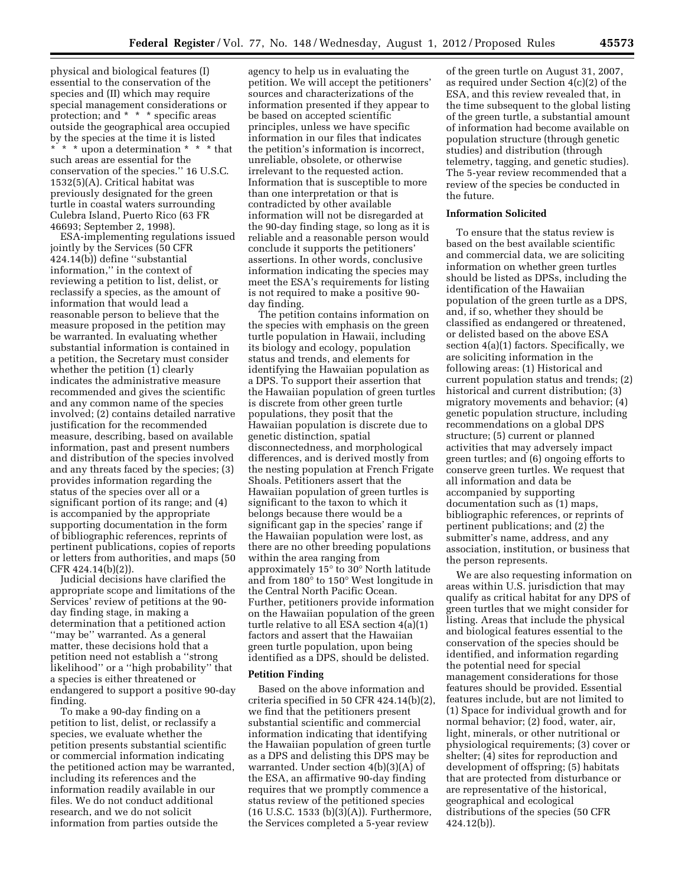physical and biological features (I) essential to the conservation of the species and (II) which may require special management considerations or protection; and \* \* \* specific areas outside the geographical area occupied by the species at the time it is listed \* \* \* upon a determination \* \* \* that such areas are essential for the conservation of the species.'' 16 U.S.C. 1532(5)(A). Critical habitat was previously designated for the green turtle in coastal waters surrounding Culebra Island, Puerto Rico (63 FR 46693; September 2, 1998).

ESA-implementing regulations issued jointly by the Services (50 CFR 424.14(b)) define ''substantial information,'' in the context of reviewing a petition to list, delist, or reclassify a species, as the amount of information that would lead a reasonable person to believe that the measure proposed in the petition may be warranted. In evaluating whether substantial information is contained in a petition, the Secretary must consider whether the petition (1) clearly indicates the administrative measure recommended and gives the scientific and any common name of the species involved; (2) contains detailed narrative justification for the recommended measure, describing, based on available information, past and present numbers and distribution of the species involved and any threats faced by the species; (3) provides information regarding the status of the species over all or a significant portion of its range; and (4) is accompanied by the appropriate supporting documentation in the form of bibliographic references, reprints of pertinent publications, copies of reports or letters from authorities, and maps (50 CFR 424.14(b)(2)).

Judicial decisions have clarified the appropriate scope and limitations of the Services' review of petitions at the 90 day finding stage, in making a determination that a petitioned action ''may be'' warranted. As a general matter, these decisions hold that a petition need not establish a ''strong likelihood'' or a ''high probability'' that a species is either threatened or endangered to support a positive 90-day finding.

To make a 90-day finding on a petition to list, delist, or reclassify a species, we evaluate whether the petition presents substantial scientific or commercial information indicating the petitioned action may be warranted, including its references and the information readily available in our files. We do not conduct additional research, and we do not solicit information from parties outside the

agency to help us in evaluating the petition. We will accept the petitioners' sources and characterizations of the information presented if they appear to be based on accepted scientific principles, unless we have specific information in our files that indicates the petition's information is incorrect, unreliable, obsolete, or otherwise irrelevant to the requested action. Information that is susceptible to more than one interpretation or that is contradicted by other available information will not be disregarded at the 90-day finding stage, so long as it is reliable and a reasonable person would conclude it supports the petitioners' assertions. In other words, conclusive information indicating the species may meet the ESA's requirements for listing is not required to make a positive 90 day finding.

The petition contains information on the species with emphasis on the green turtle population in Hawaii, including its biology and ecology, population status and trends, and elements for identifying the Hawaiian population as a DPS. To support their assertion that the Hawaiian population of green turtles is discrete from other green turtle populations, they posit that the Hawaiian population is discrete due to genetic distinction, spatial disconnectedness, and morphological differences, and is derived mostly from the nesting population at French Frigate Shoals. Petitioners assert that the Hawaiian population of green turtles is significant to the taxon to which it belongs because there would be a significant gap in the species' range if the Hawaiian population were lost, as there are no other breeding populations within the area ranging from approximately 15° to 30° North latitude and from 180° to 150° West longitude in the Central North Pacific Ocean. Further, petitioners provide information on the Hawaiian population of the green turtle relative to all ESA section 4(a)(1) factors and assert that the Hawaiian green turtle population, upon being identified as a DPS, should be delisted.

### **Petition Finding**

Based on the above information and criteria specified in 50 CFR 424.14(b)(2), we find that the petitioners present substantial scientific and commercial information indicating that identifying the Hawaiian population of green turtle as a DPS and delisting this DPS may be warranted. Under section 4(b)(3)(A) of the ESA, an affirmative 90-day finding requires that we promptly commence a status review of the petitioned species (16 U.S.C. 1533 (b)(3)(A)). Furthermore, the Services completed a 5-year review

of the green turtle on August 31, 2007, as required under Section 4(c)(2) of the ESA, and this review revealed that, in the time subsequent to the global listing of the green turtle, a substantial amount of information had become available on population structure (through genetic studies) and distribution (through telemetry, tagging, and genetic studies). The 5-year review recommended that a review of the species be conducted in the future.

### **Information Solicited**

To ensure that the status review is based on the best available scientific and commercial data, we are soliciting information on whether green turtles should be listed as DPSs, including the identification of the Hawaiian population of the green turtle as a DPS, and, if so, whether they should be classified as endangered or threatened, or delisted based on the above ESA section 4(a)(1) factors. Specifically, we are soliciting information in the following areas: (1) Historical and current population status and trends; (2) historical and current distribution; (3) migratory movements and behavior; (4) genetic population structure, including recommendations on a global DPS structure; (5) current or planned activities that may adversely impact green turtles; and (6) ongoing efforts to conserve green turtles. We request that all information and data be accompanied by supporting documentation such as (1) maps, bibliographic references, or reprints of pertinent publications; and (2) the submitter's name, address, and any association, institution, or business that the person represents.

We are also requesting information on areas within U.S. jurisdiction that may qualify as critical habitat for any DPS of green turtles that we might consider for listing. Areas that include the physical and biological features essential to the conservation of the species should be identified, and information regarding the potential need for special management considerations for those features should be provided. Essential features include, but are not limited to (1) Space for individual growth and for normal behavior; (2) food, water, air, light, minerals, or other nutritional or physiological requirements; (3) cover or shelter; (4) sites for reproduction and development of offspring; (5) habitats that are protected from disturbance or are representative of the historical, geographical and ecological distributions of the species (50 CFR 424.12(b)).